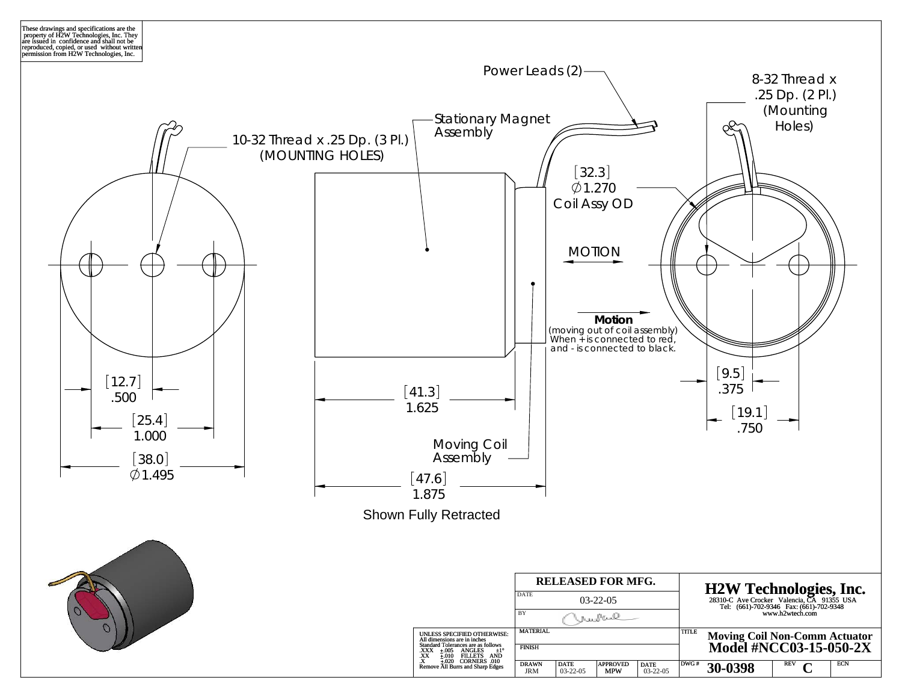